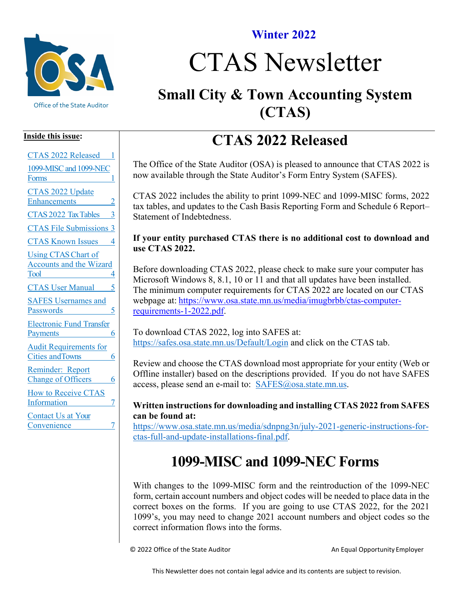

#### **Winter 2022**

# CTAS Newsletter

## **Small City & Town Accounting System (CTAS)**

#### **Inside this issue:**

| <b>CTAS 2022 Released</b><br>1                                                         |
|----------------------------------------------------------------------------------------|
| 1099-MISC and 1099-NEC<br>Forms<br>1                                                   |
| CTAS 2022 Update<br>Enhancements<br>2                                                  |
| CTAS 2022 Tax Tables                                                                   |
| <b>CTAS File Submissions 3</b>                                                         |
| <b>CTAS Known Issues</b><br>4                                                          |
| <b>Using CTAS Chart of</b><br><b>Accounts and the Wizard</b><br>Tool<br>$\overline{4}$ |
| <b>CTAS User Manual</b><br>5                                                           |
| <b>SAFES Usernames and</b><br>Passwords                                                |
| <b>Electronic Fund Transfer</b><br><b>Payments</b><br>6                                |
| <b>Audit Requirements for</b><br>Cities and Towns<br>6                                 |
| Reminder: Report<br><b>Change of Officers</b><br>6                                     |
| <b>How to Receive CTAS</b><br>Information<br>7                                         |
| Contact Us at Your<br>Convenience<br>7                                                 |

## **CTAS 2022 Released**

<span id="page-0-0"></span>The Office of the State Auditor (OSA) is pleased to announce that CTAS 2022 is now available through the State Auditor's Form Entry System (SAFES).

CTAS 2022 includes the ability to print 1099-NEC and 1099-MISC forms, 2022 tax tables, and updates to the Cash Basis Reporting Form and Schedule 6 Report– Statement of Indebtedness.

#### **If your entity purchased CTAS there is no additional cost to download and use CTAS 2022.**

Before downloading CTAS 2022, please check to make sure your computer has Microsoft Windows 8, 8.1, 10 or 11 and that all updates have been installed. The minimum computer requirements for CTAS 2022 are located on our CTAS webpage at: [https://www.osa.state.mn.us/media/imugbrbb/ctas-computer](https://www.osa.state.mn.us/media/imugbrbb/ctas-computer-requirements-1-2022.pdf)[requirements-1-2022.pdf.](https://www.osa.state.mn.us/media/imugbrbb/ctas-computer-requirements-1-2022.pdf)

To download CTAS 2022, log into SAFES at: <https://safes.osa.state.mn.us/Default/Login> and click on the CTAS tab.

Review and choose the CTAS download most appropriate for your entity (Web or Offline installer) based on the descriptions provided. If you do not have SAFES access, please send an e-mail to: [SAFES@osa.state.mn.us.](mailto:SAFES@osa.state.mn.us)

#### **Written instructions for downloading and installing CTAS 2022 from SAFES can be found at:**

[https://www.osa.state.mn.us/media/sdnpng3n/july-2021-generic-instructions-for](https://www.osa.state.mn.us/media/sdnpng3n/july-2021-generic-instructions-for-ctas-full-and-update-installations-final.pdf)[ctas-full-and-update-installations-final.pdf.](https://www.osa.state.mn.us/media/sdnpng3n/july-2021-generic-instructions-for-ctas-full-and-update-installations-final.pdf)

## **1099-MISC and 1099-NEC Forms**

<span id="page-0-1"></span>With changes to the 1099-MISC form and the reintroduction of the 1099-NEC form, certain account numbers and object codes will be needed to place data in the correct boxes on the forms. If you are going to use CTAS 2022, for the 2021 1099's, you may need to change 2021 account numbers and object codes so the correct information flows into the forms.

© 2022 Office of the State Auditor **An Equal Opportunity Employer** An Equal Opportunity Employer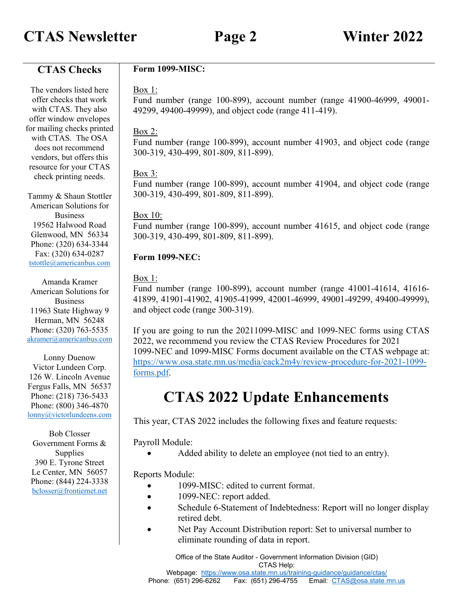## **CTAS Newsletter Page 2 Winter 2022**

**CTAS Checks**

The vendors listed here offer checks that work with CTAS. They also offer window envelopes for mailing checks printed with CTAS. The OSA does not recommend vendors, but offers this resource for your CTAS check printing needs. Tammy & Shaun Stottler American Solutions for Business 19562 Halwood Road Glenwood, MN 56334 Phone: (320) 634-3344 Fax: (320) 634-0287 [tstottle@americanbus.com](mailto:tstottle@americanbus.com) 49299, 49400-49999), and object code (range 411-419). Box 2: 300-319, 430-499, 801-809, 811-899). Box 3: 300-319, 430-499, 801-809, 811-899). Box 10: 300-319, 430-499, 801-809, 811-899). **Form 1099-NEC:**

Amanda Kramer American Solutions for Business 11963 State Highway 9 Herman, MN 56248 Phone: (320) 763-5535 [akramer@americanbus.com](mailto:akramer@americanbus.com)

Lonny Duenow Victor Lundeen Corp. 126 W. Lincoln Avenue Fergus Falls, MN 56537 Phone: (218) 736-5433 Phone: (800) 346-4870 [lonny@victorlundeens.com](mailto:lonny@victorlundeens.com)

Bob Closser Government Forms & Supplies 390 E. Tyrone Street Le Center, MN 56057 Phone: (844) 224-3338 [bclosser@frontiernet.net](mailto:bclosser@frontiernet.net)

#### **Form 1099-MISC:**

#### Box 1:

Fund number (range 100-899), account number (range 41900-46999, 49001-

Fund number (range 100-899), account number 41903, and object code (range

Fund number (range 100-899), account number 41904, and object code (range

Fund number (range 100-899), account number 41615, and object code (range

#### Box 1:

Fund number (range 100-899), account number (range 41001-41614, 41616- 41899, 41901-41902, 41905-41999, 42001-46999, 49001-49299, 49400-49999), and object code (range 300-319).

If you are going to run the 20211099-MISC and 1099-NEC forms using CTAS 2022, we recommend you review the CTAS Review Procedures for 2021 1099-NEC and 1099-MISC Forms document available on the CTAS webpage at: [https://www.osa.state.mn.us/media/eack2m4y/review-procedure-for-2021-1099](https://www.osa.state.mn.us/media/eack2m4y/review-procedure-for-2021-1099-forms.pdf) [forms.pdf.](https://www.osa.state.mn.us/media/eack2m4y/review-procedure-for-2021-1099-forms.pdf)

## **CTAS 2022 Update Enhancements**

<span id="page-1-0"></span>This year, CTAS 2022 includes the following fixes and feature requests:

Payroll Module:

Added ability to delete an employee (not tied to an entry).

#### Reports Module:

- 1099-MISC: edited to current format.
- 1099-NEC: report added.
- Schedule 6-Statement of Indebtedness: Report will no longer display retired debt.
- Net Pay Account Distribution report: Set to universal number to eliminate rounding of data in report.

Office of the State Auditor - Government Information Division (GID) CTAS Help:

Webpage: <https://www.osa.state.mn.us/training-guidance/guidance/ctas/>

Phone: (651) 296-6262 Fax: (651) 296-4755 Email: [CTAS@osa.state.mn.us](mailto:CTAS@osa.state.mn.us)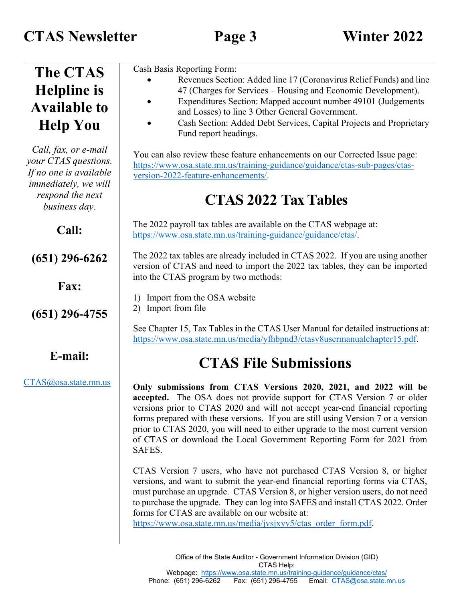<span id="page-2-1"></span><span id="page-2-0"></span>

| <b>The CTAS</b>                                                                                                                            | Cash Basis Reporting Form:                                                                                                                                                                                                                                                                                                                                                                                                                                                            |
|--------------------------------------------------------------------------------------------------------------------------------------------|---------------------------------------------------------------------------------------------------------------------------------------------------------------------------------------------------------------------------------------------------------------------------------------------------------------------------------------------------------------------------------------------------------------------------------------------------------------------------------------|
| <b>Helpline</b> is                                                                                                                         | Revenues Section: Added line 17 (Coronavirus Relief Funds) and line<br>47 (Charges for Services – Housing and Economic Development).                                                                                                                                                                                                                                                                                                                                                  |
| <b>Available to</b>                                                                                                                        | Expenditures Section: Mapped account number 49101 (Judgements                                                                                                                                                                                                                                                                                                                                                                                                                         |
|                                                                                                                                            | and Losses) to line 3 Other General Government.                                                                                                                                                                                                                                                                                                                                                                                                                                       |
| <b>Help You</b>                                                                                                                            | Cash Section: Added Debt Services, Capital Projects and Proprietary<br>Fund report headings.                                                                                                                                                                                                                                                                                                                                                                                          |
| Call, fax, or e-mail<br>your CTAS questions.<br>If no one is available<br><i>immediately, we will</i><br>respond the next<br>business day. | You can also review these feature enhancements on our Corrected Issue page:<br>https://www.osa.state.mn.us/training-guidance/guidance/ctas-sub-pages/ctas-<br>version-2022-feature-enhancements/.<br><b>CTAS 2022 Tax Tables</b>                                                                                                                                                                                                                                                      |
| Call:                                                                                                                                      | The 2022 payroll tax tables are available on the CTAS webpage at:<br>https://www.osa.state.mn.us/training-guidance/guidance/ctas/.                                                                                                                                                                                                                                                                                                                                                    |
| $(651)$ 296-6262                                                                                                                           | The 2022 tax tables are already included in CTAS 2022. If you are using another<br>version of CTAS and need to import the 2022 tax tables, they can be imported<br>into the CTAS program by two methods:                                                                                                                                                                                                                                                                              |
| Fax:                                                                                                                                       |                                                                                                                                                                                                                                                                                                                                                                                                                                                                                       |
|                                                                                                                                            | Import from the OSA website                                                                                                                                                                                                                                                                                                                                                                                                                                                           |
| $(651)$ 296-4755                                                                                                                           | Import from file<br>2)                                                                                                                                                                                                                                                                                                                                                                                                                                                                |
|                                                                                                                                            | See Chapter 15, Tax Tables in the CTAS User Manual for detailed instructions at:<br>https://www.osa.state.mn.us/media/yfhbpnd3/ctasv8usermanualchapter15.pdf.                                                                                                                                                                                                                                                                                                                         |
| E-mail:                                                                                                                                    | <b>CTAS File Submissions</b>                                                                                                                                                                                                                                                                                                                                                                                                                                                          |
| CTAS@osa.state.mn.us                                                                                                                       | Only submissions from CTAS Versions 2020, 2021, and 2022 will be<br>accepted. The OSA does not provide support for CTAS Version 7 or older<br>versions prior to CTAS 2020 and will not accept year-end financial reporting<br>forms prepared with these versions. If you are still using Version 7 or a version<br>prior to CTAS 2020, you will need to either upgrade to the most current version<br>of CTAS or download the Local Government Reporting Form for 2021 from<br>SAFES. |
|                                                                                                                                            | CTAS Version 7 users, who have not purchased CTAS Version 8, or higher<br>versions, and want to submit the year-end financial reporting forms via CTAS,<br>must purchase an upgrade. CTAS Version 8, or higher version users, do not need<br>to purchase the upgrade. They can log into SAFES and install CTAS 2022. Order<br>forms for CTAS are available on our website at:<br>https://www.osa.state.mn.us/media/jvsjxyv5/ctas_order_form.pdf.                                      |
|                                                                                                                                            | Office of the State Auditor - Government Information Division (GID)<br>CTAS Help:                                                                                                                                                                                                                                                                                                                                                                                                     |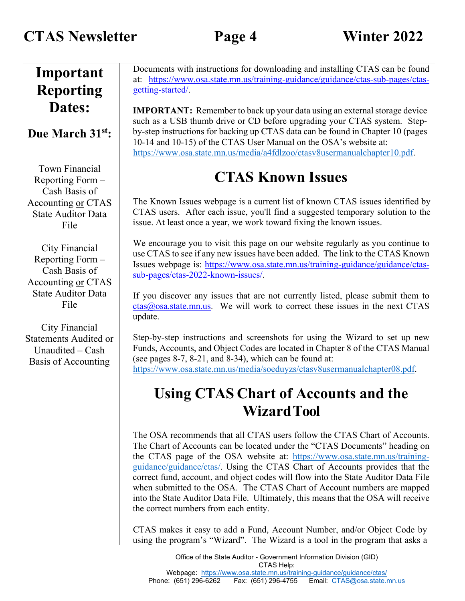#### **Important Reporting Dates:**

#### **Due March 31st:**

Town Financial Reporting Form – Cash Basis of Accounting or CTAS State Auditor Data File

City Financial Reporting Form – Cash Basis of Accounting or CTAS State Auditor Data File

City Financial Statements Audited or Unaudited – Cash Basis of Accounting

Documents with instructions for downloading and installing CTAS can be found at: [https://www.osa.state.mn.us/training-guidance/guidance/ctas-sub-pages/ctas](https://www.osa.state.mn.us/training-guidance/guidance/ctas-sub-pages/ctas-getting-started/)[getting-started/.](https://www.osa.state.mn.us/training-guidance/guidance/ctas-sub-pages/ctas-getting-started/)

**IMPORTANT:** Remember to back up your data using an external storage device such as a USB thumb drive or CD before upgrading your CTAS system. Stepby-step instructions for backing up CTAS data can be found in Chapter 10 (pages 10-14 and 10-15) of the CTAS User Manual on the OSA's website at: [https://www.osa.state.mn.us/media/a4fdlzoo/ctasv8usermanualchapter10.pdf.](https://www.osa.state.mn.us/media/a4fdlzoo/ctasv8usermanualchapter10.pdf)

## **CTAS Known Issues**

<span id="page-3-0"></span>The Known Issues webpage is a current list of known CTAS issues identified by CTAS users. After each issue, you'll find a suggested temporary solution to the issue. At least once a year, we work toward fixing the known issues.

We encourage you to visit this page on our website regularly as you continue to use CTAS to see if any new issues have been added. The link to the CTAS Known Issues webpage is: [https://www.osa.state.mn.us/training-guidance/guidance/ctas](https://www.osa.state.mn.us/training-guidance/guidance/ctas-sub-pages/ctas-2022-known-issues/)[sub-pages/ctas-2022-known-issues/.](https://www.osa.state.mn.us/training-guidance/guidance/ctas-sub-pages/ctas-2022-known-issues/)

If you discover any issues that are not currently listed, please submit them to  $ctas@osa.state.mn.us.$  We will work to correct these issues in the next CTAS update.

Step-by-step instructions and screenshots for using the Wizard to set up new Funds, Accounts, and Object Codes are located in Chapter 8 of the CTAS Manual (see pages 8-7, 8-21, and 8-34), which can be found at: [https://www.osa.state.mn.us/media/soeduyzs/ctasv8usermanualchapter08.pdf.](https://www.osa.state.mn.us/media/soeduyzs/ctasv8usermanualchapter08.pdf)

## <span id="page-3-1"></span>**Using CTAS Chart of Accounts and the WizardTool**

The OSA recommends that all CTAS users follow the CTAS Chart of Accounts. The Chart of Accounts can be located under the "CTAS Documents" heading on the CTAS page of the OSA website at: [https://www.osa.state.mn.us/training](https://www.osa.state.mn.us/training-guidance/guidance/ctas/)[guidance/guidance/ctas/.](https://www.osa.state.mn.us/training-guidance/guidance/ctas/) Using the CTAS Chart of Accounts provides that the correct fund, account, and object codes will flow into the State Auditor Data File when submitted to the OSA. The CTAS Chart of Account numbers are mapped into the State Auditor Data File. Ultimately, this means that the OSA will receive the correct numbers from each entity.

CTAS makes it easy to add a Fund, Account Number, and/or Object Code by using the program's "Wizard". The Wizard is a tool in the program that asks a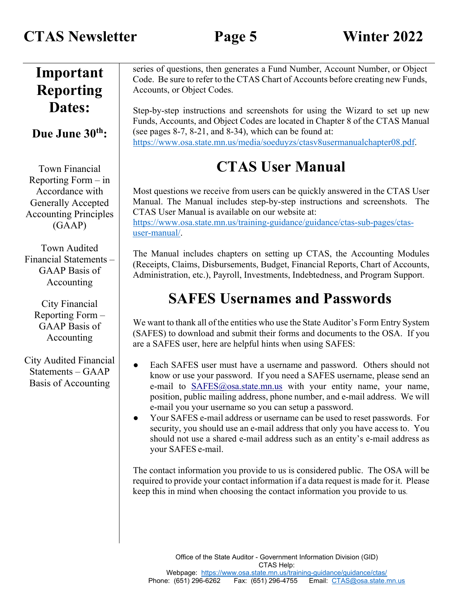<span id="page-4-1"></span><span id="page-4-0"></span>

| Important<br><b>Reporting</b>                                                                                                            | series of questions, then generates a Fund Number, Account Number, or Object<br>Code. Be sure to refer to the CTAS Chart of Accounts before creating new Funds,<br>Accounts, or Object Codes.                                                                                                                                                                                                                                                                                                                                                                                                                                                |
|------------------------------------------------------------------------------------------------------------------------------------------|----------------------------------------------------------------------------------------------------------------------------------------------------------------------------------------------------------------------------------------------------------------------------------------------------------------------------------------------------------------------------------------------------------------------------------------------------------------------------------------------------------------------------------------------------------------------------------------------------------------------------------------------|
| Dates:<br>Due June 30 <sup>th</sup> :                                                                                                    | Step-by-step instructions and screenshots for using the Wizard to set up new<br>Funds, Accounts, and Object Codes are located in Chapter 8 of the CTAS Manual<br>(see pages 8-7, 8-21, and 8-34), which can be found at:                                                                                                                                                                                                                                                                                                                                                                                                                     |
|                                                                                                                                          | https://www.osa.state.mn.us/media/soeduyzs/ctasv8usermanualchapter08.pdf.                                                                                                                                                                                                                                                                                                                                                                                                                                                                                                                                                                    |
| <b>Town Financial</b><br>Reporting Form $-$ in<br>Accordance with<br><b>Generally Accepted</b><br><b>Accounting Principles</b><br>(GAAP) | <b>CTAS User Manual</b><br>Most questions we receive from users can be quickly answered in the CTAS User<br>Manual. The Manual includes step-by-step instructions and screenshots. The<br>CTAS User Manual is available on our website at:<br>https://www.osa.state.mn.us/training-guidance/guidance/ctas-sub-pages/ctas-<br>user-manual/.                                                                                                                                                                                                                                                                                                   |
| Town Audited<br>Financial Statements -<br><b>GAAP</b> Basis of<br>Accounting                                                             | The Manual includes chapters on setting up CTAS, the Accounting Modules<br>(Receipts, Claims, Disbursements, Budget, Financial Reports, Chart of Accounts,<br>Administration, etc.), Payroll, Investments, Indebtedness, and Program Support.                                                                                                                                                                                                                                                                                                                                                                                                |
| City Financial<br>Reporting Form -<br><b>GAAP</b> Basis of<br>Accounting                                                                 | <b>SAFES Usernames and Passwords</b><br>We want to thank all of the entities who use the State Auditor's Form Entry System<br>(SAFES) to download and submit their forms and documents to the OSA. If you<br>are a SAFES user, here are helpful hints when using SAFES:                                                                                                                                                                                                                                                                                                                                                                      |
| City Audited Financial<br>Statements $-$ GAAP<br>Basis of Accounting                                                                     | Each SAFES user must have a username and password. Others should not<br>$\bullet$<br>know or use your password. If you need a SAFES username, please send an<br>e-mail to SAFES@osa.state.mn.us with your entity name, your name,<br>position, public mailing address, phone number, and e-mail address. We will<br>e-mail you your username so you can setup a password.<br>Your SAFES e-mail address or username can be used to reset passwords. For<br>security, you should use an e-mail address that only you have access to. You<br>should not use a shared e-mail address such as an entity's e-mail address as<br>your SAFES e-mail. |
|                                                                                                                                          | The contact information you provide to us is considered public. The OSA will be<br>required to provide your contact information if a data request is made for it. Please<br>keep this in mind when choosing the contact information you provide to us.                                                                                                                                                                                                                                                                                                                                                                                       |
|                                                                                                                                          | Office of the State Auditor - Government Information Division (GID)<br>CTAS Help:                                                                                                                                                                                                                                                                                                                                                                                                                                                                                                                                                            |

Webpage: <https://www.osa.state.mn.us/training-guidance/guidance/ctas/> Phone: (651) 296-6262 Fax: (651) 296-4755 Email: <u>[CTAS@osa.state.mn.us](mailto:CTAS@osa.state.mn.us)</u>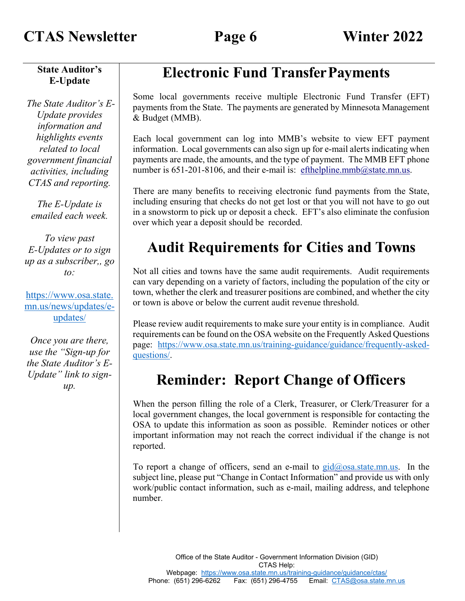### **CTAS Newsletter Page 6 Winter 2022**

**State Auditor's E-Update**

*The State Auditor's E-Update provides information and highlights events related to local government financial activities, including CTAS and reporting.*

*The E-Update is emailed each week.*

*To view past E-Updates or to sign up as a subscriber,, go to:*

[https://www.osa.state.](https://www.osa.state.mn.us/news/updates/e-updates/) [mn.us/news/updates/e](https://www.osa.state.mn.us/news/updates/e-updates/)[updates/](https://www.osa.state.mn.us/news/updates/e-updates/)

*Once you are there, use the "Sign-up for the State Auditor's E-Update" link to signup.*

## **Electronic Fund TransferPayments**

<span id="page-5-0"></span>Some local governments receive multiple Electronic Fund Transfer (EFT) payments from the State. The payments are generated by Minnesota Management & Budget (MMB).

Each local government can log into MMB's website to view EFT payment information. Local governments can also sign up for e-mail alerts indicating when payments are made, the amounts, and the type of payment. The MMB EFT phone number is  $651-201-8106$ , and their e-mail is: [efthelpline.mmb@state.mn.us.](mailto:efthelpline.mmb@state.mn.us)

There are many benefits to receiving electronic fund payments from the State, including ensuring that checks do not get lost or that you will not have to go out in a snowstorm to pick up or deposit a check. EFT's also eliminate the confusion over which year a deposit should be recorded.

## <span id="page-5-1"></span>**Audit Requirements for Cities and Towns**

Not all cities and towns have the same audit requirements. Audit requirements can vary depending on a variety of factors, including the population of the city or town, whether the clerk and treasurer positions are combined, and whether the city or town is above or below the current audit revenue threshold.

Please review audit requirements to make sure your entity is in compliance. Audit requirements can be found on the OSA website on the Frequently Asked Questions page: [https://www.osa.state.mn.us/training-guidance/guidance/frequently-asked](https://www.osa.state.mn.us/training-guidance/guidance/frequently-asked-questions/)[questions/.](https://www.osa.state.mn.us/training-guidance/guidance/frequently-asked-questions/)

## **Reminder: Report Change of Officers**

<span id="page-5-2"></span>When the person filling the role of a Clerk, Treasurer, or Clerk/Treasurer for a local government changes, the local government is responsible for contacting the OSA to update this information as soon as possible. Reminder notices or other important information may not reach the correct individual if the change is not reported.

To report a change of officers, send an e-mail to  $\frac{gid(\omega)$  osa.state.mn.us. In the subject line, please put "Change in Contact Information" and provide us with only work/public contact information, such as e-mail, mailing address, and telephone number.